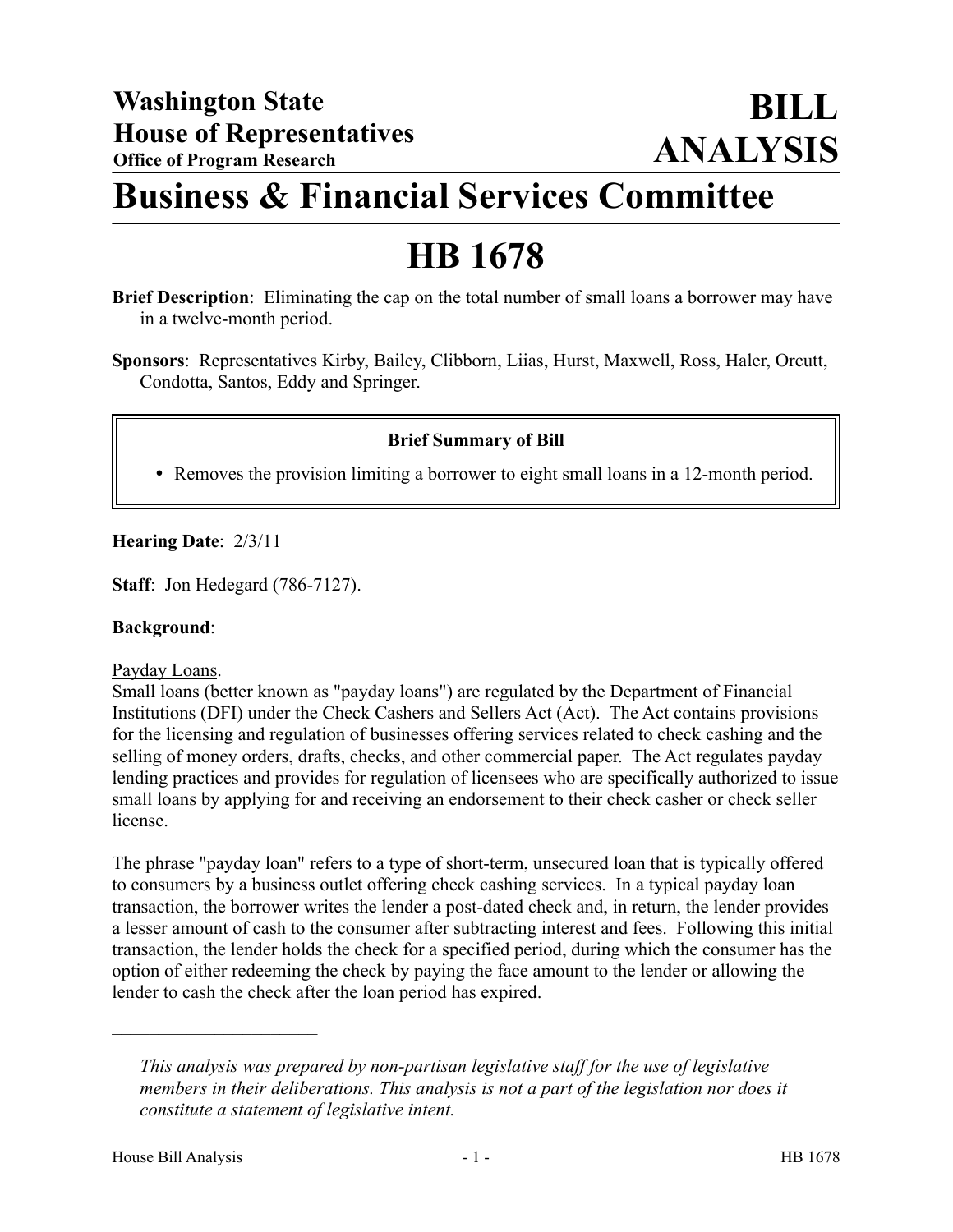# **Business & Financial Services Committee**

## **HB 1678**

- **Brief Description**: Eliminating the cap on the total number of small loans a borrower may have in a twelve-month period.
- **Sponsors**: Representatives Kirby, Bailey, Clibborn, Liias, Hurst, Maxwell, Ross, Haler, Orcutt, Condotta, Santos, Eddy and Springer.

## **Brief Summary of Bill**

Removes the provision limiting a borrower to eight small loans in a 12-month period.

## **Hearing Date**: 2/3/11

**Staff**: Jon Hedegard (786-7127).

## **Background**:

Payday Loans.

Small loans (better known as "payday loans") are regulated by the Department of Financial Institutions (DFI) under the Check Cashers and Sellers Act (Act). The Act contains provisions for the licensing and regulation of businesses offering services related to check cashing and the selling of money orders, drafts, checks, and other commercial paper. The Act regulates payday lending practices and provides for regulation of licensees who are specifically authorized to issue small loans by applying for and receiving an endorsement to their check casher or check seller license.

The phrase "payday loan" refers to a type of short-term, unsecured loan that is typically offered to consumers by a business outlet offering check cashing services. In a typical payday loan transaction, the borrower writes the lender a post-dated check and, in return, the lender provides a lesser amount of cash to the consumer after subtracting interest and fees. Following this initial transaction, the lender holds the check for a specified period, during which the consumer has the option of either redeeming the check by paying the face amount to the lender or allowing the lender to cash the check after the loan period has expired.

––––––––––––––––––––––

*This analysis was prepared by non-partisan legislative staff for the use of legislative members in their deliberations. This analysis is not a part of the legislation nor does it constitute a statement of legislative intent.*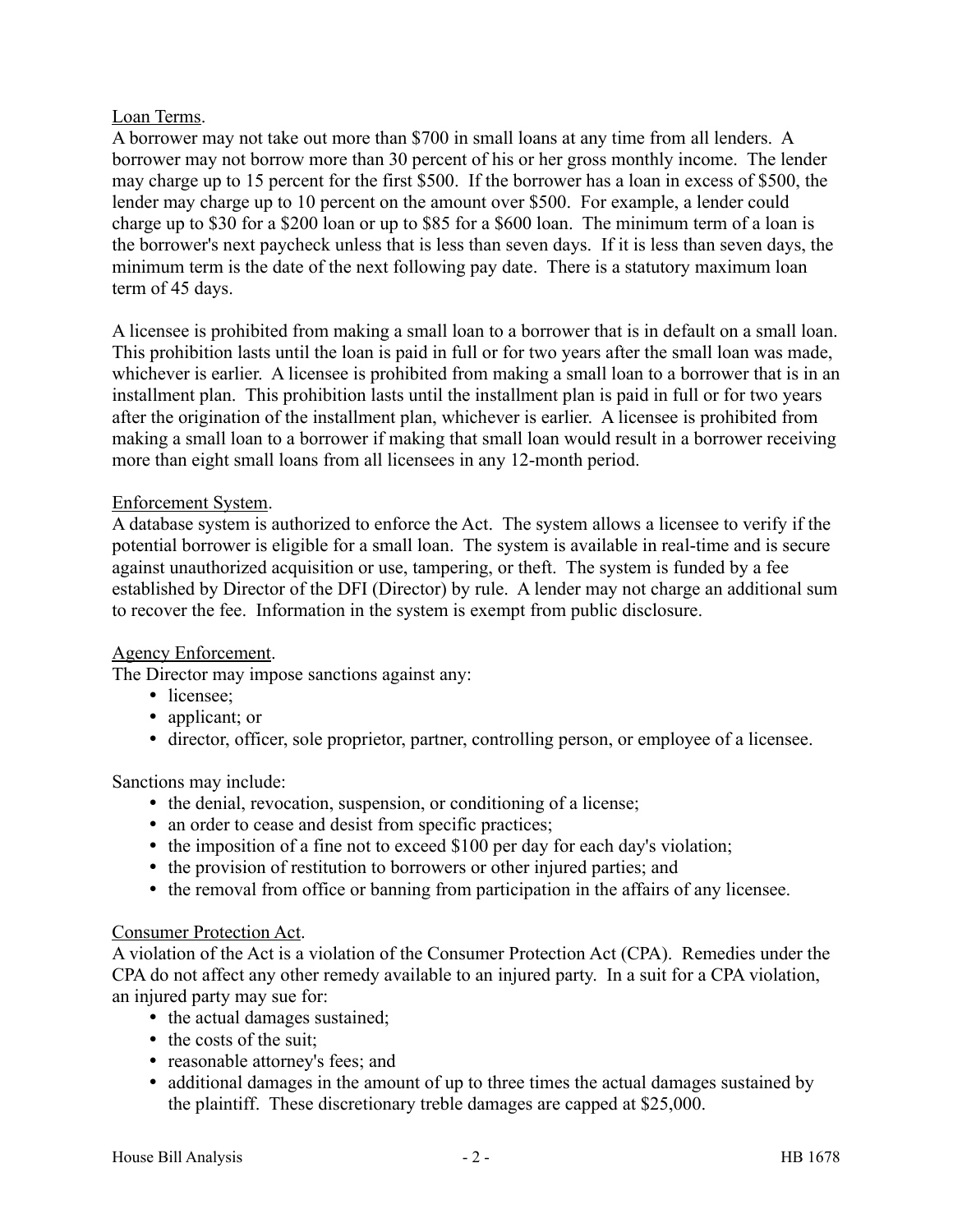## Loan Terms.

A borrower may not take out more than \$700 in small loans at any time from all lenders. A borrower may not borrow more than 30 percent of his or her gross monthly income. The lender may charge up to 15 percent for the first \$500. If the borrower has a loan in excess of \$500, the lender may charge up to 10 percent on the amount over \$500. For example, a lender could charge up to \$30 for a \$200 loan or up to \$85 for a \$600 loan. The minimum term of a loan is the borrower's next paycheck unless that is less than seven days. If it is less than seven days, the minimum term is the date of the next following pay date. There is a statutory maximum loan term of 45 days.

A licensee is prohibited from making a small loan to a borrower that is in default on a small loan. This prohibition lasts until the loan is paid in full or for two years after the small loan was made, whichever is earlier. A licensee is prohibited from making a small loan to a borrower that is in an installment plan. This prohibition lasts until the installment plan is paid in full or for two years after the origination of the installment plan, whichever is earlier. A licensee is prohibited from making a small loan to a borrower if making that small loan would result in a borrower receiving more than eight small loans from all licensees in any 12-month period.

## Enforcement System.

A database system is authorized to enforce the Act. The system allows a licensee to verify if the potential borrower is eligible for a small loan. The system is available in real-time and is secure against unauthorized acquisition or use, tampering, or theft. The system is funded by a fee established by Director of the DFI (Director) by rule. A lender may not charge an additional sum to recover the fee. Information in the system is exempt from public disclosure.

## Agency Enforcement.

The Director may impose sanctions against any:

- licensee;
- applicant; or
- director, officer, sole proprietor, partner, controlling person, or employee of a licensee.

Sanctions may include:

- the denial, revocation, suspension, or conditioning of a license;
- an order to cease and desist from specific practices;
- the imposition of a fine not to exceed \$100 per day for each day's violation;
- the provision of restitution to borrowers or other injured parties; and
- the removal from office or banning from participation in the affairs of any licensee.

## Consumer Protection Act.

A violation of the Act is a violation of the Consumer Protection Act (CPA). Remedies under the CPA do not affect any other remedy available to an injured party. In a suit for a CPA violation, an injured party may sue for:

- the actual damages sustained;
- the costs of the suit;
- reasonable attorney's fees; and
- additional damages in the amount of up to three times the actual damages sustained by the plaintiff. These discretionary treble damages are capped at \$25,000.